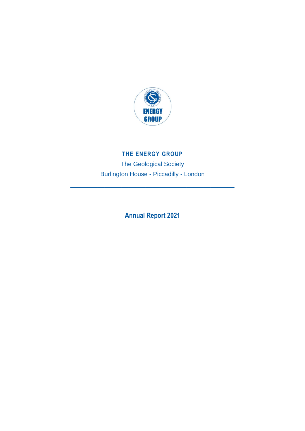

# **THE ENERGY GROUP**

The Geological Society Burlington House - Piccadilly - London

\_\_\_\_\_\_\_\_\_\_\_\_\_\_\_\_\_\_\_\_\_\_\_\_\_\_\_\_\_\_\_\_\_\_\_\_\_\_\_\_\_\_\_\_\_\_\_\_

**Annual Report 2021**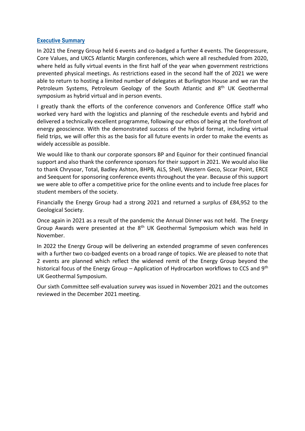### **Executive Summary**

In 2021 the Energy Group held 6 events and co-badged a further 4 events. The Geopressure, Core Values, and UKCS Atlantic Margin conferences, which were all rescheduled from 2020, where held as fully virtual events in the first half of the year when government restrictions prevented physical meetings. As restrictions eased in the second half the of 2021 we were able to return to hosting a limited number of delegates at Burlington House and we ran the Petroleum Systems, Petroleum Geology of the South Atlantic and 8<sup>th</sup> UK Geothermal symposium as hybrid virtual and in person events.

I greatly thank the efforts of the conference convenors and Conference Office staff who worked very hard with the logistics and planning of the reschedule events and hybrid and delivered a technically excellent programme, following our ethos of being at the forefront of energy geoscience. With the demonstrated success of the hybrid format, including virtual field trips, we will offer this as the basis for all future events in order to make the events as widely accessible as possible.

We would like to thank our corporate sponsors BP and Equinor for their continued financial support and also thank the conference sponsors for their support in 2021. We would also like to thank Chrysoar, Total, Badley Ashton, BHPB, ALS, Shell, Western Geco, Siccar Point, ERCE and Seequent for sponsoring conference events throughout the year. Because of this support we were able to offer a competitive price for the online events and to include free places for student members of the society.

Financially the Energy Group had a strong 2021 and returned a surplus of £84,952 to the Geological Society.

Once again in 2021 as a result of the pandemic the Annual Dinner was not held. The Energy Group Awards were presented at the  $8<sup>th</sup>$  UK Geothermal Symposium which was held in November.

In 2022 the Energy Group will be delivering an extended programme of seven conferences with a further two co-badged events on a broad range of topics. We are pleased to note that 2 events are planned which reflect the widened remit of the Energy Group beyond the historical focus of the Energy Group – Application of Hydrocarbon workflows to CCS and 9<sup>th</sup> UK Geothermal Symposium.

Our sixth Committee self-evaluation survey was issued in November 2021 and the outcomes reviewed in the December 2021 meeting.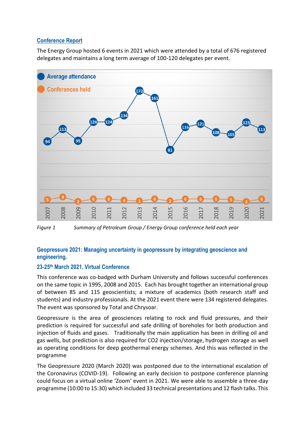# **Conference Report**

The Energy Group hosted 6 events in 2021 which were attended by a total of 676 registered delegates and maintains a long term average of 100-120 delegates per event.



*Figure 1 Summary of Petroleum Group / Energy Group conference held each year* 

# **Geopressure 2021: Managing uncertainty in geopressure by integrating geoscience and engineering.**

# **23-25 th March 2021. Virtual Conference**

This conference was co-badged with Durham University and follows successful conferences on the same topic in 1995, 2008 and 2015. Each has brought together an international group of between 85 and 115 geoscientists; a mixture of academics (both research staff and students) and industry professionals. At the 2021 event there were 134 registered delegates. The event was sponsored by Total and Chrysoar.

Geopressure is the area of geosciences relating to rock and fluid pressures, and their prediction is required for successful and safe drilling of boreholes for both production and injection of fluids and gases. Traditionally the main application has been in drilling oil and gas wells, but prediction is also required for CO2 injection/storage, hydrogen storage as well as operating conditions for deep geothermal energy schemes. And this was reflected in the programme

The Geopressure 2020 (March 2020) was postponed due to the international escalation of the Coronavirus (COVID-19). Following an early decision to postpone conference planning could focus on a virtual online 'Zoom' event in 2021. We were able to assemble a three-day programme (10:00 to 15:30) which included 33 technical presentations and 12 flash talks. This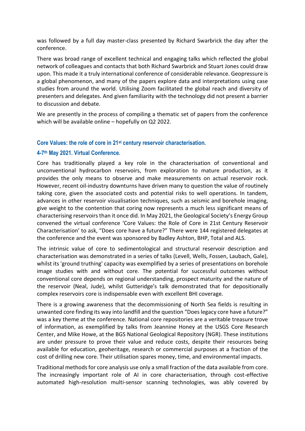was followed by a full day master-class presented by Richard Swarbrick the day after the conference.

There was broad range of excellent technical and engaging talks which reflected the global network of colleagues and contacts that both Richard Swarbrick and Stuart Jones could draw upon. This made it a truly international conference of considerable relevance. Geopressure is a global phenomenon, and many of the papers explore data and interpretations using case studies from around the world. Utilising Zoom facilitated the global reach and diversity of presenters and delegates. And given familiarity with the technology did not present a barrier to discussion and debate.

We are presently in the process of compiling a thematic set of papers from the conference which will be available online – hopefully on Q2 2022.

### **Core Values: the role of core in 21st century reservoir characterisation.**

# **4-7 th May 2021. Virtual Conference.**

Core has traditionally played a key role in the characterisation of conventional and unconventional hydrocarbon reservoirs, from exploration to mature production, as it provides the only means to observe and make measurements on actual reservoir rock. However, recent oil-industry downturns have driven many to question the value of routinely taking core, given the associated costs and potential risks to well operations. In tandem, advances in other reservoir visualisation techniques, such as seismic and borehole imaging, give weight to the contention that coring now represents a much less significant means of characterising reservoirs than it once did. In May 2021, the Geological Society's Energy Group convened the virtual conference 'Core Values: the Role of Core in 21st Century Reservoir Characterisation' to ask, "Does core have a future?" There were 144 registered delegates at the conference and the event was sponsored by Badley Ashton, BHP, Total and ALS.

The intrinsic value of core to sedimentological and structural reservoir description and characterisation was demonstrated in a series of talks (Levell, Wells, Fossen, Laubach, Gale), whilst its 'ground truthing' capacity was exemplified by a series of presentations on borehole image studies with and without core. The potential for successful outcomes without conventional core depends on regional understanding, prospect maturity and the nature of the reservoir (Neal, Jude), whilst Gutteridge's talk demonstrated that for depositionally complex reservoirs core is indispensable even with excellent BHI coverage.

There is a growing awareness that the decommissioning of North Sea fields is resulting in unwanted core finding its way into landfill and the question "Does legacy core have a future?" was a key theme at the conference. National core repositories are a veritable treasure trove of information, as exemplified by talks from Jeannine Honey at the USGS Core Research Center, and Mike Howe, at the BGS National Geological Repository (NGR). These institutions are under pressure to prove their value and reduce costs, despite their resources being available for education, geoheritage, research or commercial purposes at a fraction of the cost of drilling new core. Their utilisation spares money, time, and environmental impacts.

Traditional methods for core analysis use only a small fraction of the data available from core. The increasingly important role of AI in core characterisation, through cost-effective automated high-resolution multi-sensor scanning technologies, was ably covered by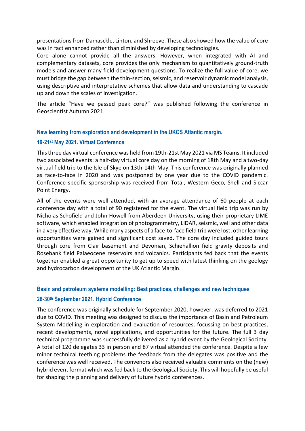presentations from Damasckle, Linton, and Shreeve. These also showed how the value of core was in fact enhanced rather than diminished by developing technologies.

Core alone cannot provide all the answers. However, when integrated with AI and complementary datasets, core provides the only mechanism to quantitatively ground-truth models and answer many field-development questions. To realize the full value of core, we must bridge the gap between the thin-section, seismic, and reservoir dynamic model analysis, using descriptive and interpretative schemes that allow data and understanding to cascade up and down the scales of investigation.

The article "Have we passed peak core?" was published following the conference in Geoscientist Autumn 2021.

**New learning from exploration and development in the UKCS Atlantic margin.**

# **19-21st May 2021. Virtual Conference**

This three day virtual conference was held from 19th-21st May 2021 via MS Teams. It included two associated events: a half-day virtual core day on the morning of 18th May and a two-day virtual field trip to the Isle of Skye on 13th-14th May. This conference was originally planned as face-to-face in 2020 and was postponed by one year due to the COVID pandemic. Conference specific sponsorship was received from Total, Western Geco, Shell and Siccar Point Energy.

All of the events were well attended, with an average attendance of 60 people at each conference day with a total of 90 registered for the event. The virtual field trip was run by Nicholas Schofield and John Howell from Aberdeen University, using their proprietary LIME software, which enabled integration of photogrammetry, LIDAR, seismic, well and other data in a very effective way. While many aspects of a face-to-face field trip were lost, other learning opportunities were gained and significant cost saved. The core day included guided tours through core from Clair basement and Devonian, Schiehallion field gravity deposits and Rosebank field Palaeocene reservoirs and volcanics. Participants fed back that the events together enabled a great opportunity to get up to speed with latest thinking on the geology and hydrocarbon development of the UK Atlantic Margin.

# **Basin and petroleum systems modelling: Best practices, challenges and new techniques**

#### **28-30th September 2021. Hybrid Conference**

The conference was originally schedule for September 2020, however, was deferred to 2021 due to COVID. This meeting was designed to discuss the importance of Basin and Petroleum System Modelling in exploration and evaluation of resources, focussing on best practices, recent developments, novel applications, and opportunities for the future. The full 3 day technical programme was successfully delivered as a hybrid event by the Geological Society. A total of 120 delegates 33 in person and 87 virtual attended the conference. Despite a few minor technical teething problems the feedback from the delegates was positive and the conference was well received. The convenors also received valuable comments on the (new) hybrid event format which was fed back to the Geological Society. This will hopefully be useful for shaping the planning and delivery of future hybrid conferences.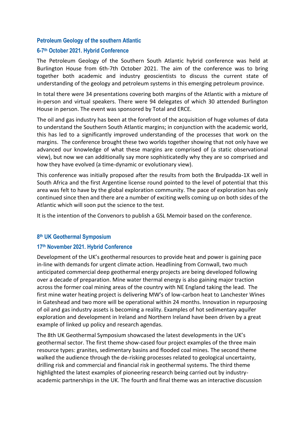### **Petroleum Geology of the southern Atlantic**

### **6-7 th October 2021. Hybrid Conference**

The Petroleum Geology of the Southern South Atlantic hybrid conference was held at Burlington House from 6th-7th October 2021. The aim of the conference was to bring together both academic and industry geoscientists to discuss the current state of understanding of the geology and petroleum systems in this emerging petroleum province.

In total there were 34 presentations covering both margins of the Atlantic with a mixture of in-person and virtual speakers. There were 94 delegates of which 30 attended Burlington House in person. The event was sponsored by Total and ERCE.

The oil and gas industry has been at the forefront of the acquisition of huge volumes of data to understand the Southern South Atlantic margins; in conjunction with the academic world, this has led to a significantly improved understanding of the processes that work on the margins. The conference brought these two worlds together showing that not only have we advanced our knowledge of what these margins are comprised of (a static observational view), but now we can additionally say more sophisticatedly why they are so comprised and how they have evolved (a time-dynamic or evolutionary view).

This conference was initially proposed after the results from both the Brulpadda-1X well in South Africa and the first Argentine license round pointed to the level of potential that this area was felt to have by the global exploration community. The pace of exploration has only continued since then and there are a number of exciting wells coming up on both sides of the Atlantic which will soon put the science to the test.

It is the intention of the Convenors to publish a GSL Memoir based on the conference.

### **8 th UK Geothermal Symposium**

#### **17th November 2021. Hybrid Conference**

Development of the UK's geothermal resources to provide heat and power is gaining pace in-line with demands for urgent climate action. Headlining from Cornwall, two much anticipated commercial deep geothermal energy projects are being developed following over a decade of preparation. Mine water thermal energy is also gaining major traction across the former coal mining areas of the country with NE England taking the lead. The first mine water heating project is delivering MW's of low-carbon heat to Lanchester Wines in Gateshead and two more will be operational within 24 months. Innovation in repurposing of oil and gas industry assets is becoming a reality. Examples of hot sedimentary aquifer exploration and development in Ireland and Northern Ireland have been driven by a great example of linked up policy and research agendas.

The 8th UK Geothermal Symposium showcased the latest developments in the UK's geothermal sector. The first theme show-cased four project examples of the three main resource types: granites, sedimentary basins and flooded coal mines. The second theme walked the audience through the de-risking processes related to geological uncertainty, drilling risk and commercial and financial risk in geothermal systems. The third theme highlighted the latest examples of pioneering research being carried out by industryacademic partnerships in the UK. The fourth and final theme was an interactive discussion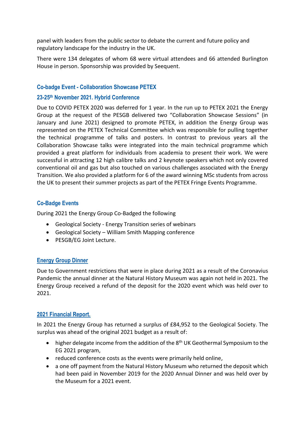panel with leaders from the public sector to debate the current and future policy and regulatory landscape for the industry in the UK.

There were 134 delegates of whom 68 were virtual attendees and 66 attended Burlington House in person. Sponsorship was provided by Seequent.

# **Co-badge Event - Collaboration Showcase PETEX**

# **23-25th November 2021. Hybrid Conference**

Due to COVID PETEX 2020 was deferred for 1 year. In the run up to PETEX 2021 the Energy Group at the request of the PESGB delivered two "Collaboration Showcase Sessions" (in January and June 2021) designed to promote PETEX, in addition the Energy Group was represented on the PETEX Technical Committee which was responsible for pulling together the technical programme of talks and posters. In contrast to previous years all the Collaboration Showcase talks were integrated into the main technical programme which provided a great platform for individuals from academia to present their work. We were successful in attracting 12 high calibre talks and 2 keynote speakers which not only covered conventional oil and gas but also touched on various challenges associated with the Energy Transition. We also provided a platform for 6 of the award winning MSc students from across the UK to present their summer projects as part of the PETEX Fringe Events Programme.

# **Co-Badge Events**

During 2021 the Energy Group Co-Badged the following

- Geological Society Energy Transition series of webinars
- Geological Society William Smith Mapping conference
- PESGB/EG Joint Lecture.

# **Energy Group Dinner**

Due to Government restrictions that were in place during 2021 as a result of the Coronavius Pandemic the annual dinner at the Natural History Museum was again not held in 2021. The Energy Group received a refund of the deposit for the 2020 event which was held over to 2021.

# **2021 Financial Report.**

In 2021 the Energy Group has returned a surplus of £84,952 to the Geological Society. The surplus was ahead of the original 2021 budget as a result of:

- higher delegate income from the addition of the 8<sup>th</sup> UK Geothermal Symposium to the EG 2021 program,
- reduced conference costs as the events were primarily held online,
- a one off payment from the Natural History Museum who returned the deposit which had been paid in November 2019 for the 2020 Annual Dinner and was held over by the Museum for a 2021 event.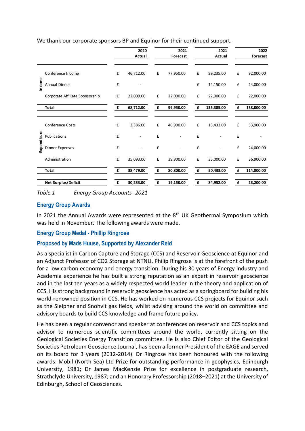| We thank our corporate sponsors BP and Equinor for their continued support. |  |  |
|-----------------------------------------------------------------------------|--|--|
|                                                                             |  |  |

|             |                                 |                    | 2020           |   | 2021                     |             | 2021       |   | 2022       |
|-------------|---------------------------------|--------------------|----------------|---|--------------------------|-------------|------------|---|------------|
|             |                                 |                    | Actual         |   | Forecast                 |             | Actual     |   | Forecast   |
| Income      | Conference Income               | £                  | 46,712.00      | £ | 77,950.00                | £           | 99,235.00  | £ | 92,000.00  |
|             | Annual Dinner                   | £                  |                |   |                          | £           | 14,150.00  | £ | 24,000.00  |
|             | Corporate Affiliate Sponsorship | £                  | 22,000.00      | £ | 22,000.00                | £           | 22,000.00  | £ | 22,000.00  |
|             | Total                           | £                  | 68,712.00      | £ | 99,950.00                | £           | 135,385.00 | £ | 138,000.00 |
|             |                                 |                    |                |   |                          |             |            |   |            |
| Expenditure | Conference Costs                | £                  | 3,386.00       | £ | 40,900.00                | £           | 15,433.00  | £ | 53,900.00  |
|             | Publications                    | £                  | $\overline{a}$ | £ | $\overline{a}$           | £           |            | £ |            |
|             | <b>Dinner Expenses</b>          | £                  |                | £ | $\overline{\phantom{0}}$ | £           |            | £ | 24,000.00  |
|             | Administration                  | $\pmb{\mathsf{f}}$ | 35,093.00      | £ | 39,900.00                | £           | 35,000.00  | £ | 36,900.00  |
|             | Total                           | £                  | 38,479.00      | £ | 80,800.00                | £           | 50,433.00  | £ | 114,800.00 |
|             | <b>Net Surplus/Deficit</b>      | £                  | 30,233.00      | £ | 19,150.00                | $\mathbf f$ | 84,952.00  | £ | 23,200.00  |

*Table 1 Energy Group Accounts- 2021*

### **Energy Group Awards**

In 2021 the Annual Awards were represented at the  $8<sup>th</sup>$  UK Geothermal Symposium which was held in November. The following awards were made.

#### **Energy Group Medal - Phillip Ringrose**

#### **Proposed by Mads Huuse, Supported by Alexander Reid**

As a specialist in Carbon Capture and Storage (CCS) and Reservoir Geoscience at Equinor and an Adjunct Professor of CO2 Storage at NTNU, Philip Ringrose is at the forefront of the push for a low carbon economy and energy transition. During his 30 years of Energy Industry and Academia experience he has built a strong reputation as an expert in reservoir geoscience and in the last ten years as a widely respected world leader in the theory and application of CCS. His strong background in reservoir geoscience has acted as a springboard for building his world-renowned position in CCS. He has worked on numerous CCS projects for Equinor such as the Sleipner and Snohvit gas fields, whilst advising around the world on committee and advisory boards to build CCS knowledge and frame future policy.

He has been a regular convenor and speaker at conferences on reservoir and CCS topics and advisor to numerous scientific committees around the world, currently sitting on the Geological Societies Energy Transition committee. He is also Chief Editor of the Geological Societies Petroleum Geoscience Journal, has been a former President of the EAGE and served on its board for 3 years (2012-2014). Dr Ringrose has been honoured with the following awards: Mobil (North Sea) Ltd Prize for outstanding performance in geophysics, Edinburgh University, 1981; Dr James MacKenzie Prize for excellence in postgraduate research, Strathclyde University, 1987; and an Honorary Professorship (2018–2021) at the University of Edinburgh, School of Geosciences.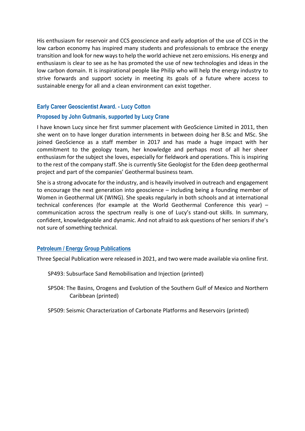His enthusiasm for reservoir and CCS geoscience and early adoption of the use of CCS in the low carbon economy has inspired many students and professionals to embrace the energy transition and look for new ways to help the world achieve net zero emissions. His energy and enthusiasm is clear to see as he has promoted the use of new technologies and ideas in the low carbon domain. It is inspirational people like Philip who will help the energy industry to strive forwards and support society in meeting its goals of a future where access to sustainable energy for all and a clean environment can exist together.

#### **Early Career Geoscientist Award. - Lucy Cotton**

#### **Proposed by John Gutmanis, supported by Lucy Crane**

I have known Lucy since her first summer placement with GeoScience Limited in 2011, then she went on to have longer duration internments in between doing her B.Sc and MSc. She joined GeoScience as a staff member in 2017 and has made a huge impact with her commitment to the geology team, her knowledge and perhaps most of all her sheer enthusiasm for the subject she loves, especially for fieldwork and operations. This is inspiring to the rest of the company staff. She is currently Site Geologist for the Eden deep geothermal project and part of the companies' Geothermal business team.

She is a strong advocate for the industry, and is heavily involved in outreach and engagement to encourage the next generation into geoscience – including being a founding member of Women in Geothermal UK (WING). She speaks regularly in both schools and at international technical conferences (for example at the World Geothermal Conference this year) – communication across the spectrum really is one of Lucy's stand-out skills. In summary, confident, knowledgeable and dynamic. And not afraid to ask questions of her seniors if she's not sure of something technical.

#### **Petroleum / Energy Group Publications**

Three Special Publication were released in 2021, and two were made available via online first.

SP493: Subsurface Sand Remobilisation and Injection (printed)

- SP504: The Basins, Orogens and Evolution of the Southern Gulf of Mexico and Northern Caribbean (printed)
- SP509: Seismic Characterization of Carbonate Platforms and Reservoirs (printed)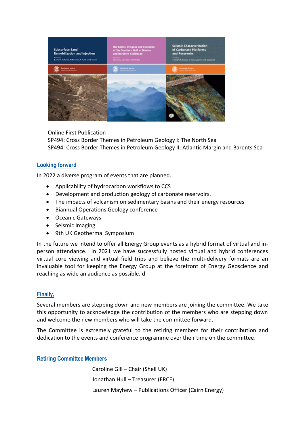

Online First Publication

SP494: Cross Border Themes in Petroleum Geology I: The North Sea SP494: Cross Border Themes in Petroleum Geology II: Atlantic Margin and Barents Sea

# **Looking forward**

In 2022 a diverse program of events that are planned.

- Applicability of hydrocarbon workflows to CCS
- Development and production geology of carbonate reservoirs.
- The impacts of volcanism on sedimentary basins and their energy resources
- Biannual Operations Geology conference
- Oceanic Gateways
- Seismic Imaging
- 9th UK Geothermal Symposium

In the future we intend to offer all Energy Group events as a hybrid format of virtual and inperson attendance. In 2021 we have successfully hosted virtual and hybrid conferences virtual core viewing and virtual field trips and believe the multi-delivery formats are an invaluable tool for keeping the Energy Group at the forefront of Energy Geoscience and reaching as wide an audience as possible. d

# **Finally,**

Several members are stepping down and new members are joining the committee. We take this opportunity to acknowledge the contribution of the members who are stepping down and welcome the new members who will take the committee forward.

The Committee is extremely grateful to the retiring members for their contribution and dedication to the events and conference programme over their time on the committee.

#### **Retiring Committee Members**

Caroline Gill – Chair (Shell UK) Jonathan Hull – Treasurer (ERCE) Lauren Mayhew – Publications Officer (Cairn Energy)